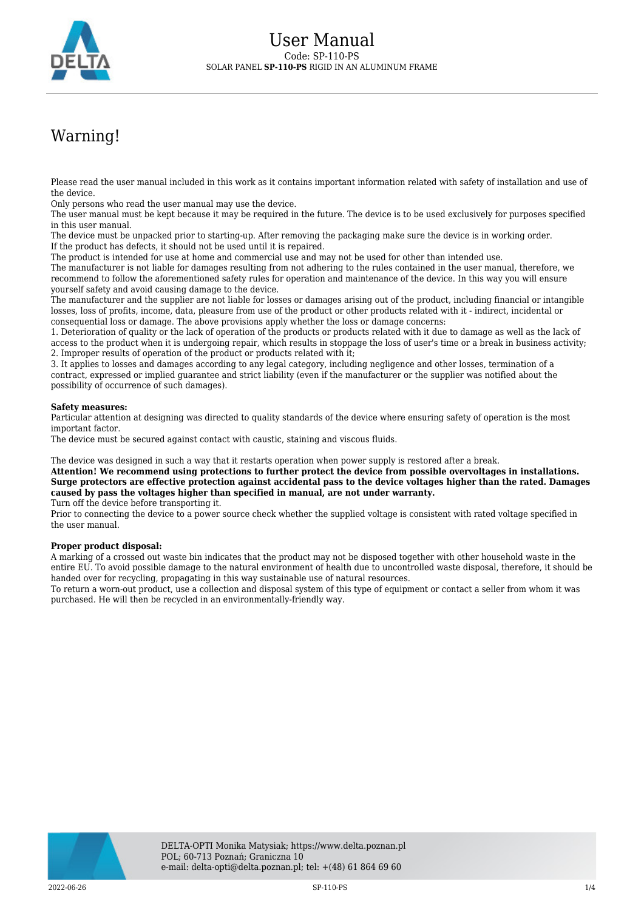

## Warning!

Please read the user manual included in this work as it contains important information related with safety of installation and use of the device.

Only persons who read the user manual may use the device.

The user manual must be kept because it may be required in the future. The device is to be used exclusively for purposes specified in this user manual.

The device must be unpacked prior to starting-up. After removing the packaging make sure the device is in working order. If the product has defects, it should not be used until it is repaired.

The product is intended for use at home and commercial use and may not be used for other than intended use.

The manufacturer is not liable for damages resulting from not adhering to the rules contained in the user manual, therefore, we recommend to follow the aforementioned safety rules for operation and maintenance of the device. In this way you will ensure yourself safety and avoid causing damage to the device.

The manufacturer and the supplier are not liable for losses or damages arising out of the product, including financial or intangible losses, loss of profits, income, data, pleasure from use of the product or other products related with it - indirect, incidental or consequential loss or damage. The above provisions apply whether the loss or damage concerns:

1. Deterioration of quality or the lack of operation of the products or products related with it due to damage as well as the lack of access to the product when it is undergoing repair, which results in stoppage the loss of user's time or a break in business activity; 2. Improper results of operation of the product or products related with it;

3. It applies to losses and damages according to any legal category, including negligence and other losses, termination of a contract, expressed or implied guarantee and strict liability (even if the manufacturer or the supplier was notified about the possibility of occurrence of such damages).

## **Safety measures:**

Particular attention at designing was directed to quality standards of the device where ensuring safety of operation is the most important factor.

The device must be secured against contact with caustic, staining and viscous fluids.

The device was designed in such a way that it restarts operation when power supply is restored after a break.

**Attention! We recommend using protections to further protect the device from possible overvoltages in installations. Surge protectors are effective protection against accidental pass to the device voltages higher than the rated. Damages caused by pass the voltages higher than specified in manual, are not under warranty.**

Turn off the device before transporting it.

Prior to connecting the device to a power source check whether the supplied voltage is consistent with rated voltage specified in the user manual.

## **Proper product disposal:**

A marking of a crossed out waste bin indicates that the product may not be disposed together with other household waste in the entire EU. To avoid possible damage to the natural environment of health due to uncontrolled waste disposal, therefore, it should be handed over for recycling, propagating in this way sustainable use of natural resources.

To return a worn-out product, use a collection and disposal system of this type of equipment or contact a seller from whom it was purchased. He will then be recycled in an environmentally-friendly way.

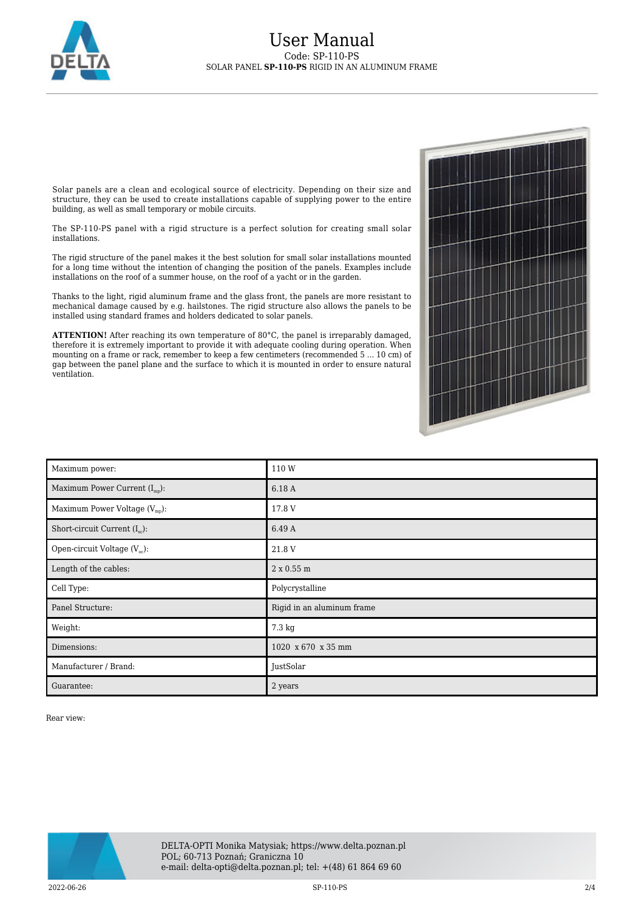

## User Manual Code: SP-110-PS SOLAR PANEL **SP-110-PS** RIGID IN AN ALUMINUM FRAME

Solar panels are a clean and ecological source of electricity. Depending on their size and structure, they can be used to create installations capable of supplying power to the entire building, as well as small temporary or mobile circuits.

The SP-110-PS panel with a rigid structure is a perfect solution for creating small solar installations.

The rigid structure of the panel makes it the best solution for small solar installations mounted for a long time without the intention of changing the position of the panels. Examples include installations on the roof of a summer house, on the roof of a yacht or in the garden.

Thanks to the light, rigid aluminum frame and the glass front, the panels are more resistant to mechanical damage caused by e.g. hailstones. The rigid structure also allows the panels to be installed using standard frames and holders dedicated to solar panels.

ATTENTION! After reaching its own temperature of 80°C, the panel is irreparably damaged, therefore it is extremely important to provide it with adequate cooling during operation. When mounting on a frame or rack, remember to keep a few centimeters (recommended 5 ... 10 cm) of gap between the panel plane and the surface to which it is mounted in order to ensure natural ventilation.

| Maximum power:                            | 110W                       |
|-------------------------------------------|----------------------------|
| Maximum Power Current $(I_{\text{mp}})$ : | 6.18 A                     |
| Maximum Power Voltage $(V_{mp})$ :        | 17.8 V                     |
| Short-circuit Current $(I_{sc})$ :        | 6.49 A                     |
| Open-circuit Voltage $(V_{oc})$ :         | 21.8 V                     |
| Length of the cables:                     | 2 x 0.55 m                 |
| Cell Type:                                | Polycrystalline            |
| Panel Structure:                          | Rigid in an aluminum frame |
| Weight:                                   | 7.3 kg                     |
| Dimensions:                               | 1020 x 670 x 35 mm         |
| Manufacturer / Brand:                     | JustSolar                  |
| Guarantee:                                | 2 years                    |

Rear view:

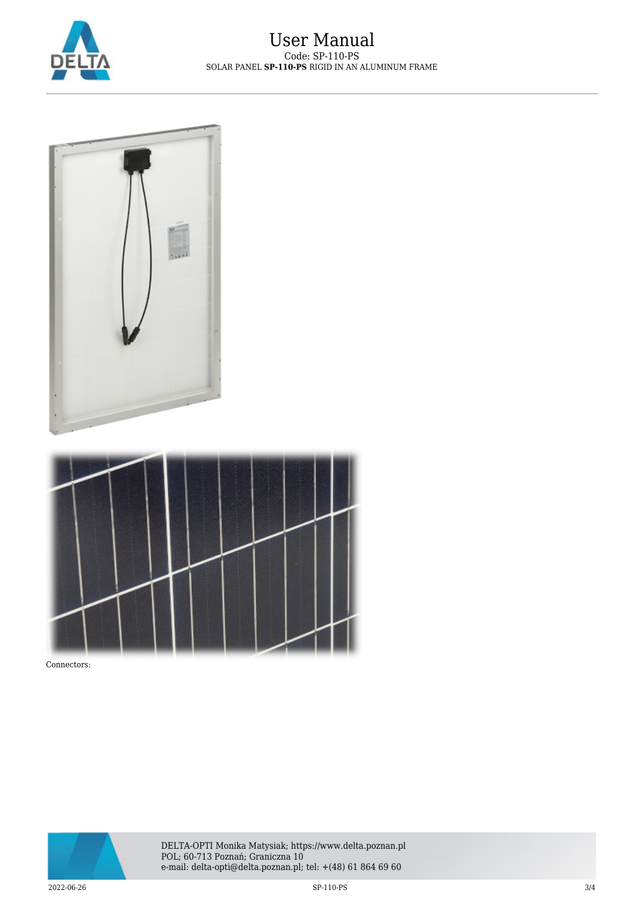





Connectors: